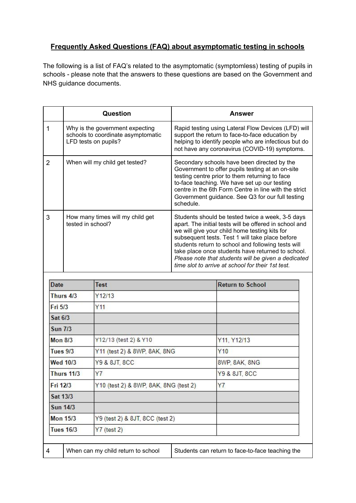## **Frequently Asked Questions (FAQ) about asymptomatic testing in schools**

The following is a list of FAQ's related to the asymptomatic (symptomless) testing of pupils in schools - please note that the answers to these questions are based on the Government and NHS guidance documents.

|                 |                                | Question                                                                                      |           | <b>Answer</b>                                                                                                                                                                                                                                                                                                                                                                                                                         |
|-----------------|--------------------------------|-----------------------------------------------------------------------------------------------|-----------|---------------------------------------------------------------------------------------------------------------------------------------------------------------------------------------------------------------------------------------------------------------------------------------------------------------------------------------------------------------------------------------------------------------------------------------|
| 1               |                                | Why is the government expecting<br>schools to coordinate asymptomatic<br>LFD tests on pupils? |           | Rapid testing using Lateral Flow Devices (LFD) will<br>support the return to face-to-face education by<br>helping to identify people who are infectious but do<br>not have any coronavirus (COVID-19) symptoms.                                                                                                                                                                                                                       |
| $\overline{2}$  | When will my child get tested? |                                                                                               | schedule. | Secondary schools have been directed by the<br>Government to offer pupils testing at an on-site<br>testing centre prior to them returning to face<br>to-face teaching. We have set up our testing<br>centre in the 6th Form Centre in line with the strict<br>Government guidance. See Q3 for our full testing                                                                                                                        |
| 3               | tested in school?              | How many times will my child get                                                              |           | Students should be tested twice a week, 3-5 days<br>apart. The initial tests will be offered in school and<br>we will give your child home testing kits for<br>subsequent tests. Test 1 will take place before<br>students return to school and following tests will<br>take place once students have returned to school.<br>Please note that students will be given a dedicated<br>time slot to arrive at school for their 1st test. |
| <b>Date</b>     |                                | <b>Test</b>                                                                                   |           | <b>Return to School</b>                                                                                                                                                                                                                                                                                                                                                                                                               |
| Thurs 4/3       |                                | Y12/13                                                                                        |           |                                                                                                                                                                                                                                                                                                                                                                                                                                       |
| Fri 5/3         |                                | Y11                                                                                           |           |                                                                                                                                                                                                                                                                                                                                                                                                                                       |
| Sat 6/3         |                                |                                                                                               |           |                                                                                                                                                                                                                                                                                                                                                                                                                                       |
| <b>Sun 7/3</b>  |                                |                                                                                               |           |                                                                                                                                                                                                                                                                                                                                                                                                                                       |
| <b>Mon 8/3</b>  |                                | Y12/13 (test 2) & Y10                                                                         |           | Y11, Y12/13                                                                                                                                                                                                                                                                                                                                                                                                                           |
| <b>Tues 9/3</b> |                                | Y11 (test 2) & 8WP, 8AK, 8NG                                                                  |           |                                                                                                                                                                                                                                                                                                                                                                                                                                       |
|                 |                                |                                                                                               |           | Y10                                                                                                                                                                                                                                                                                                                                                                                                                                   |
|                 | <b>Wed 10/3</b>                | Y9 & 8JT, 8CC                                                                                 |           | 8WP, 8AK, 8NG                                                                                                                                                                                                                                                                                                                                                                                                                         |
|                 | <b>Thurs 11/3</b>              | Y7                                                                                            |           | Y9 & 8JT, 8CC                                                                                                                                                                                                                                                                                                                                                                                                                         |
| Fri 12/3        |                                | Y10 (test 2) & 8WP, 8AK, 8NG (test 2).                                                        |           | Y7                                                                                                                                                                                                                                                                                                                                                                                                                                    |
|                 | Sat 13/3                       |                                                                                               |           |                                                                                                                                                                                                                                                                                                                                                                                                                                       |
|                 | <b>Sun 14/3</b>                |                                                                                               |           |                                                                                                                                                                                                                                                                                                                                                                                                                                       |
|                 | <b>Mon 15/3</b>                | Y9 (test 2) & 8JT, 8CC (test 2)                                                               |           |                                                                                                                                                                                                                                                                                                                                                                                                                                       |

4 When can my child return to school Students can return to face-to-face teaching the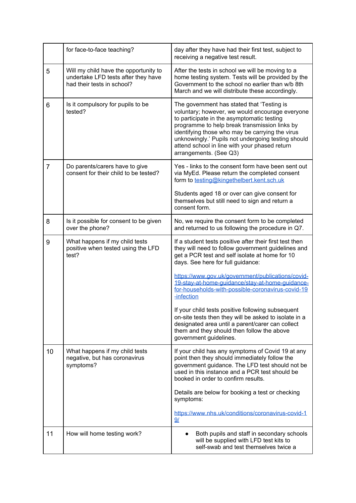|                | for face-to-face teaching?                                                                                 | day after they have had their first test, subject to<br>receiving a negative test result.                                                                                                                                                                                                                                                                                        |
|----------------|------------------------------------------------------------------------------------------------------------|----------------------------------------------------------------------------------------------------------------------------------------------------------------------------------------------------------------------------------------------------------------------------------------------------------------------------------------------------------------------------------|
| 5              | Will my child have the opportunity to<br>undertake LFD tests after they have<br>had their tests in school? | After the tests in school we will be moving to a<br>home testing system. Tests will be provided by the<br>Government to the school no earlier than w/b 8th<br>March and we will distribute these accordingly.                                                                                                                                                                    |
| 6              | Is it compulsory for pupils to be<br>tested?                                                               | The government has stated that 'Testing is<br>voluntary; however, we would encourage everyone<br>to participate in the asymptomatic testing<br>programme to help break transmission links by<br>identifying those who may be carrying the virus<br>unknowingly.' Pupils not undergoing testing should<br>attend school in line with your phased return<br>arrangements. (See Q3) |
| $\overline{7}$ | Do parents/carers have to give<br>consent for their child to be tested?                                    | Yes - links to the consent form have been sent out<br>via MyEd. Please return the completed consent<br>form to testing@kingethelbert.kent.sch.uk                                                                                                                                                                                                                                 |
|                |                                                                                                            | Students aged 18 or over can give consent for<br>themselves but still need to sign and return a<br>consent form.                                                                                                                                                                                                                                                                 |
| 8              | Is it possible for consent to be given<br>over the phone?                                                  | No, we require the consent form to be completed<br>and returned to us following the procedure in Q7.                                                                                                                                                                                                                                                                             |
| 9              | What happens if my child tests<br>positive when tested using the LFD<br>test?                              | If a student tests positive after their first test then<br>they will need to follow government guidelines and<br>get a PCR test and self isolate at home for 10<br>days. See here for full guidance:                                                                                                                                                                             |
|                |                                                                                                            | https://www.gov.uk/government/publications/covid-<br>19-stav-at-home-quidance/stav-at-home-quidance-<br>for-households-with-possible-coronavirus-covid-19<br>-infection                                                                                                                                                                                                          |
|                |                                                                                                            | If your child tests positive following subsequent<br>on-site tests then they will be asked to isolate in a<br>designated area until a parent/carer can collect<br>them and they should then follow the above<br>government guidelines.                                                                                                                                           |
| 10             | What happens if my child tests<br>negative, but has coronavirus<br>symptoms?                               | If your child has any symptoms of Covid 19 at any<br>point then they should immediately follow the<br>government guidance. The LFD test should not be<br>used in this instance and a PCR test should be<br>booked in order to confirm results.                                                                                                                                   |
|                |                                                                                                            | Details are below for booking a test or checking<br>symptoms:                                                                                                                                                                                                                                                                                                                    |
|                |                                                                                                            | https://www.nhs.uk/conditions/coronavirus-covid-1<br>9/                                                                                                                                                                                                                                                                                                                          |
| 11             | How will home testing work?                                                                                | Both pupils and staff in secondary schools<br>will be supplied with LFD test kits to<br>self-swab and test themselves twice a                                                                                                                                                                                                                                                    |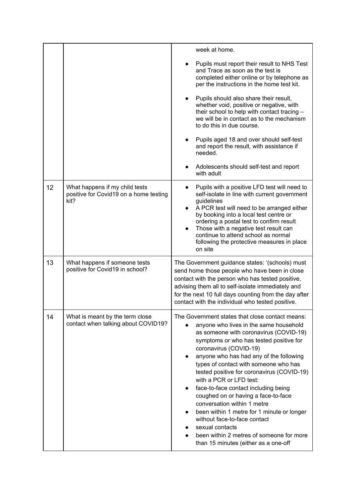|    |                                                                                  | week at home.                                                                                                                                                                                                                                                                                                                                                                                                                                                                                                                                                                                                                                                            |
|----|----------------------------------------------------------------------------------|--------------------------------------------------------------------------------------------------------------------------------------------------------------------------------------------------------------------------------------------------------------------------------------------------------------------------------------------------------------------------------------------------------------------------------------------------------------------------------------------------------------------------------------------------------------------------------------------------------------------------------------------------------------------------|
|    |                                                                                  | Pupils must report their result to NHS Test<br>and Trace as soon as the test is<br>completed either online or by telephone as<br>per the instructions in the home test kit.                                                                                                                                                                                                                                                                                                                                                                                                                                                                                              |
|    |                                                                                  | Pupils should also share their result,<br>whether void, positive or negative, with<br>their school to help with contact tracing -<br>we will be in contact as to the mechanism<br>to do this in due course.                                                                                                                                                                                                                                                                                                                                                                                                                                                              |
|    |                                                                                  | Pupils aged 18 and over should self-test<br>and report the result, with assistance if<br>needed.                                                                                                                                                                                                                                                                                                                                                                                                                                                                                                                                                                         |
|    |                                                                                  | Adolescents should self-test and report<br>with adult                                                                                                                                                                                                                                                                                                                                                                                                                                                                                                                                                                                                                    |
| 12 | What happens if my child tests<br>positive for Covid19 on a home testing<br>kit? | Pupils with a positive LFD test will need to<br>self-isolate in line with current government<br>guidelines<br>A PCR test will need to be arranged either<br>by booking into a local test centre or<br>ordering a postal test to confirm result<br>Those with a negative test result can<br>continue to attend school as normal<br>following the protective measures in place<br>on site                                                                                                                                                                                                                                                                                  |
| 13 | What happens if someone tests<br>positive for Covid19 in school?                 | The Government guidance states: '(schools) must<br>send home those people who have been in close<br>contact with the person who has tested positive,<br>advising them all to self-isolate immediately and<br>for the next 10 full days counting from the day after<br>contact with the individual who tested positive.                                                                                                                                                                                                                                                                                                                                                   |
| 14 | What is meant by the term close<br>contact when talking about COVID19?           | The Government states that close contact means:<br>anyone who lives in the same household<br>as someone with coronavirus (COVID-19)<br>symptoms or who has tested positive for<br>coronavirus (COVID-19)<br>anyone who has had any of the following<br>types of contact with someone who has<br>tested positive for coronavirus (COVID-19)<br>with a PCR or LFD test:<br>face-to-face contact including being<br>coughed on or having a face-to-face<br>conversation within 1 metre<br>been within 1 metre for 1 minute or longer<br>without face-to-face contact<br>sexual contacts<br>been within 2 metres of someone for more<br>than 15 minutes (either as a one-off |